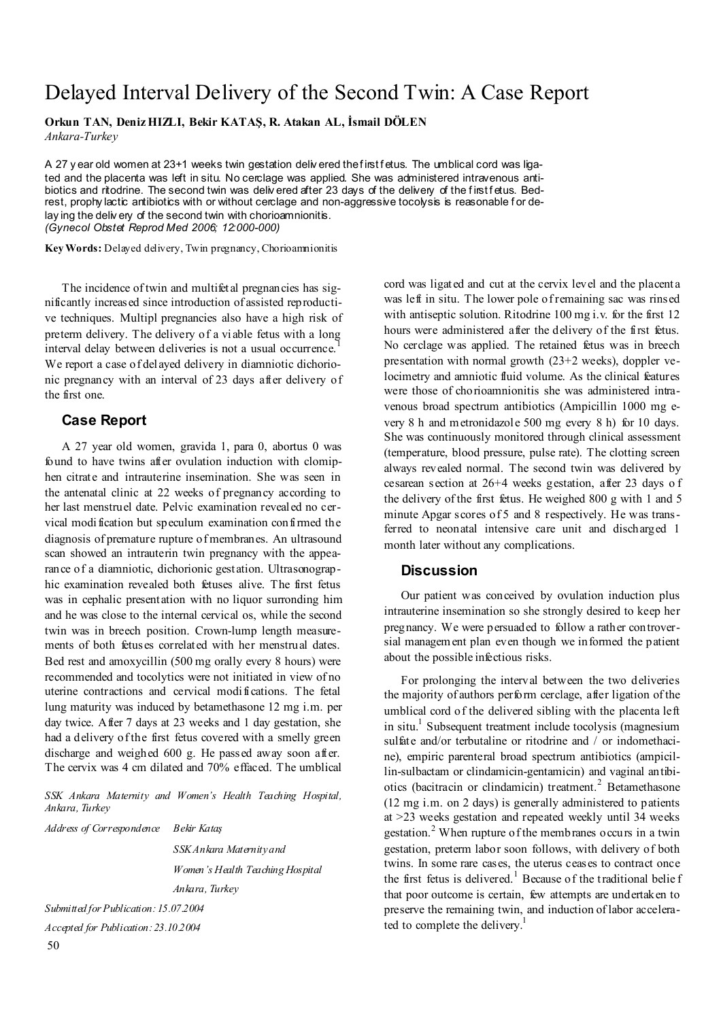## Delayed Interval Delivery of the Second Twin: A Case Report

**Orkun TAN, Deniz HIZLI, Bekir KATAŞ, R. Atakan AL, İsmail DÖLEN**  *Ankara-Turkey* 

A 27 y ear old women at 23+1 weeks twin gestation deliv ered the first fetus. The umblical cord was ligated and the placenta was left in situ. No cerclage was applied. She was administered intravenous antibiotics and ritodrine. The second twin was deliv ered after 23 days of the delivery of the first fetus. Bedrest, prophy lactic antibiotics with or without cerclage and non-aggressive tocolysis is reasonable for delay ing the deliv ery of the second twin with chorioamnionitis. *(Gynecol Obstet Reprod Med 2006; 12:000-000)* 

**Key Words:** Delayed delivery, Twin pregnancy, Chorioamnionitis

The incidence of twin and multifetal pregnancies has significantly increased since introduction of assisted reproductive techniques. Multipl pregnancies also have a high risk of preterm delivery. The delivery of a viable fetus with a long interval delay between deliveries is not a usual occurrence.<sup>1</sup> We report a case of delayed delivery in diamniotic dichorionic pregnancy with an interval of 23 days after delivery of the first one.

## **Case Report**

A 27 year old women, gravida 1, para 0, abortus 0 was found to have twins after ovulation induction with clomiphen citrate and intrauterine insemination. She was seen in the antenatal clinic at 22 weeks of pregnancy according to her last menstruel date. Pelvic examination revealed no cervical modification but speculum examination confirmed the diagnosis of premature rupture of membranes. An ultrasound scan showed an intrauterin twin pregnancy with the appearance of a diamniotic, dichorionic gestation. Ultrasonographic examination revealed both fetuses alive. The first fetus was in cephalic presentation with no liquor surronding him and he was close to the internal cervical os, while the second twin was in breech position. Crown-lump length measurements of both fetuses correlated with her menstrual dates. Bed rest and amoxycillin (500 mg orally every 8 hours) were recommended and tocolytics were not initiated in view of no uterine contractions and cervical modifications. The fetal lung maturity was induced by betamethasone 12 mg i.m. per day twice. After 7 days at 23 weeks and 1 day gestation, she had a delivery of the first fetus covered with a smelly green discharge and weighed 600 g. He passed away soon after. The cervix was 4 cm dilated and 70% effaced. The umblical

*SSK Ankara Maternity and Women's Health Teaching Hospital, Ankara, Turkey* 

*Address of Correspondence Bekir Kataş SSK Ankara Maternity and Women's Health Teaching Hospital Ankara, Turkey Submitted for Publication: 15.07.2004 Accepted for Publication: 23.10.2004* 

cord was ligated and cut at the cervix level and the placenta was left in situ. The lower pole of remaining sac was rinsed with antiseptic solution. Ritodrine 100 mg i.v. for the first 12 hours were administered after the delivery of the first fetus. No cerclage was applied. The retained fetus was in breech presentation with normal growth (23+2 weeks), doppler velocimetry and amniotic fluid volume. As the clinical features were those of chorioamnionitis she was administered intravenous broad spectrum antibiotics (Ampicillin 1000 mg every 8 h and metronidazole 500 mg every 8 h) for 10 days. She was continuously monitored through clinical assessment (temperature, blood pressure, pulse rate). The clotting screen always revealed normal. The second twin was delivered by cesarean section at 26+4 weeks gestation, after 23 days o f the delivery of the first fetus. He weighed 800 g with 1 and 5 minute Apgar scores of 5 and 8 respectively. He was transferred to neonatal intensive care unit and discharged 1 month later without any complications.

## **Discussion**

Our patient was conceived by ovulation induction plus intrauterine insemination so she strongly desired to keep her pregnancy. We were persuaded to follow a rather controversial management plan even though we informed the patient about the possible infectious risks.

For prolonging the interval between the two deliveries the majority of authors perform cerclage, after ligation of the umblical cord of the delivered sibling with the placenta left in situ.<sup>1</sup> Subsequent treatment include tocolysis (magnesium sulfate and/or terbutaline or ritodrine and / or indomethacine), empiric parenteral broad spectrum antibiotics (ampicillin-sulbactam or clindamicin-gentamicin) and vaginal antibiotics (bacitracin or clindamicin) treatment.<sup>2</sup> Betamethasone (12 mg i.m. on 2 days) is generally administered to patients at >23 weeks gestation and repeated weekly until 34 weeks gestation.<sup>2</sup> When rupture of the membranes occurs in a twin gestation, preterm labor soon follows, with delivery of both twins. In some rare cases, the uterus ceases to contract once the first fetus is delivered.<sup>1</sup> Because of the traditional belief that poor outcome is certain, few attempts are undertaken to preserve the remaining twin, and induction of labor accelerated to complete the delivery.